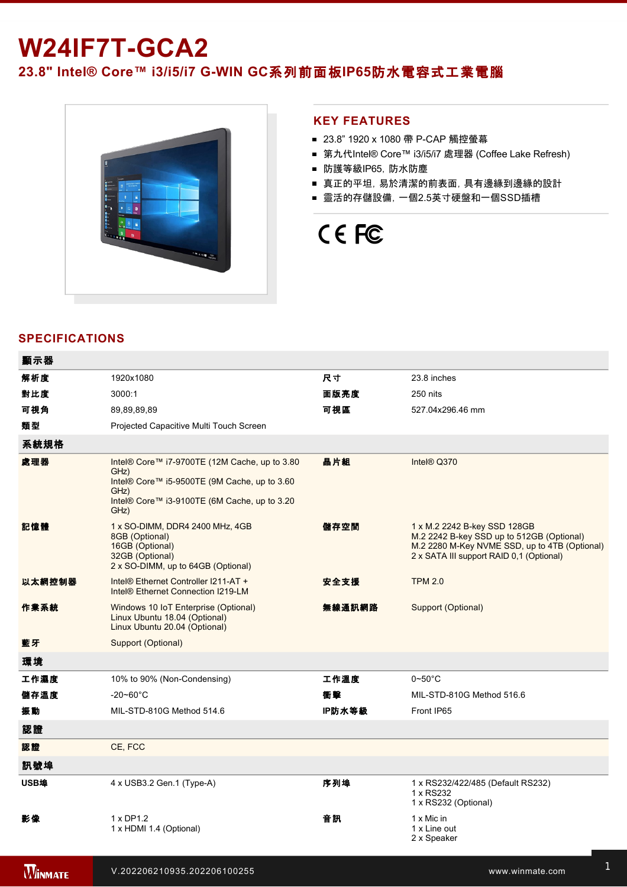## **W24IF7T-GCA2**

23.8" Intel® Core™ i3/i5/i7 G-WIN GC系列前面板IP65防水電容式工業電腦



## **KEY FEATURES**

- 23.8" 1920 x 1080 帶 P-CAP 觸控螢幕
- 第九代Intel® Core™ i3/i5/i7 處理器 (Coffee Lake Refresh)
- 防護等級IP65, 防水防塵
- 真正的平坦,易於清潔的前表面,具有邊緣到邊緣的設計
- 靈活的存儲設備, 一個2.5英寸硬盤和一個SSD插槽

# CE FC

## **SPECIFICATIONS**

| 顯示器    |                                                                                                                                                                       |        |                                                                                                                                                                        |
|--------|-----------------------------------------------------------------------------------------------------------------------------------------------------------------------|--------|------------------------------------------------------------------------------------------------------------------------------------------------------------------------|
| 解析度    | 1920x1080                                                                                                                                                             | 尺寸     | 23.8 inches                                                                                                                                                            |
| 對比度    | 3000:1                                                                                                                                                                | 面版亮度   | 250 nits                                                                                                                                                               |
| 可視角    | 89,89,89,89                                                                                                                                                           | 可視區    | 527.04x296.46 mm                                                                                                                                                       |
| 類型     | Projected Capacitive Multi Touch Screen                                                                                                                               |        |                                                                                                                                                                        |
| 系統規格   |                                                                                                                                                                       |        |                                                                                                                                                                        |
| 處理器    | Intel® Core™ i7-9700TE (12M Cache, up to 3.80<br>GHz)<br>Intel® Core™ i5-9500TE (9M Cache, up to 3.60<br>GHz)<br>Intel® Core™ i3-9100TE (6M Cache, up to 3.20<br>GHz) | 晶片組    | Intel <sup>®</sup> Q370                                                                                                                                                |
| 記憶體    | 1 x SO-DIMM, DDR4 2400 MHz, 4GB<br>8GB (Optional)<br>16GB (Optional)<br>32GB (Optional)<br>2 x SO-DIMM, up to 64GB (Optional)                                         | 儲存空間   | 1 x M.2 2242 B-key SSD 128GB<br>M.2 2242 B-key SSD up to 512GB (Optional)<br>M.2 2280 M-Key NVME SSD, up to 4TB (Optional)<br>2 x SATA III support RAID 0,1 (Optional) |
| 以太網控制器 | Intel® Ethernet Controller I211-AT +<br>Intel <sup>®</sup> Ethernet Connection I219-LM                                                                                | 安全支援   | <b>TPM 2.0</b>                                                                                                                                                         |
| 作業系統   | Windows 10 IoT Enterprise (Optional)<br>Linux Ubuntu 18.04 (Optional)<br>Linux Ubuntu 20.04 (Optional)                                                                | 無線通訊網路 | Support (Optional)                                                                                                                                                     |
| 藍牙     | Support (Optional)                                                                                                                                                    |        |                                                                                                                                                                        |
| 環境     |                                                                                                                                                                       |        |                                                                                                                                                                        |
| 工作濕度   | 10% to 90% (Non-Condensing)                                                                                                                                           | 工作溫度   | $0\neg 50^\circ C$                                                                                                                                                     |
| 儲存溫度   | $-20 - 60^{\circ}$ C                                                                                                                                                  | 衝撃     | MIL-STD-810G Method 516.6                                                                                                                                              |
| 振動     | MIL-STD-810G Method 514.6                                                                                                                                             | IP防水等級 | Front IP65                                                                                                                                                             |
| 認證     |                                                                                                                                                                       |        |                                                                                                                                                                        |
| 認證     | CE, FCC                                                                                                                                                               |        |                                                                                                                                                                        |
| 訊號埠    |                                                                                                                                                                       |        |                                                                                                                                                                        |
| USB埠   | 4 x USB3.2 Gen.1 (Type-A)                                                                                                                                             | 序列埠    | 1 x RS232/422/485 (Default RS232)<br>1 x RS232<br>1 x RS232 (Optional)                                                                                                 |
| 影像     | 1 x DP1.2<br>1 x HDMI 1.4 (Optional)                                                                                                                                  | 音訊     | 1 x Mic in<br>1 x Line out<br>2 x Speaker                                                                                                                              |

擴充端口 2 x M.2 slot(1 for WiFi, 1 for SSD)

有線網路 2 x Giga LAN RJ45 Connector